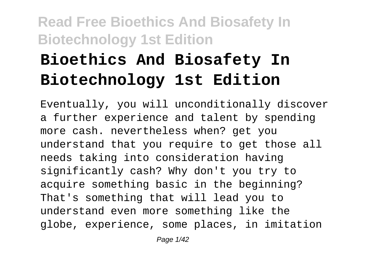# **Bioethics And Biosafety In Biotechnology 1st Edition**

Eventually, you will unconditionally discover a further experience and talent by spending more cash. nevertheless when? get you understand that you require to get those all needs taking into consideration having significantly cash? Why don't you try to acquire something basic in the beginning? That's something that will lead you to understand even more something like the globe, experience, some places, in imitation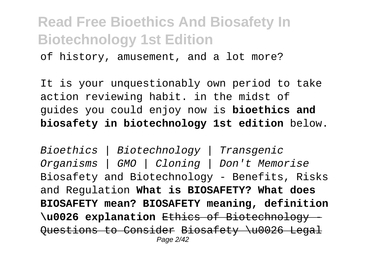of history, amusement, and a lot more?

It is your unquestionably own period to take action reviewing habit. in the midst of guides you could enjoy now is **bioethics and biosafety in biotechnology 1st edition** below.

Bioethics | Biotechnology | Transgenic Organisms | GMO | Cloning | Don't Memorise Biosafety and Biotechnology - Benefits, Risks and Regulation **What is BIOSAFETY? What does BIOSAFETY mean? BIOSAFETY meaning, definition \u0026 explanation** Ethics of Biotechnology - Questions to Consider Biosafety \u0026 Legal Page 2/42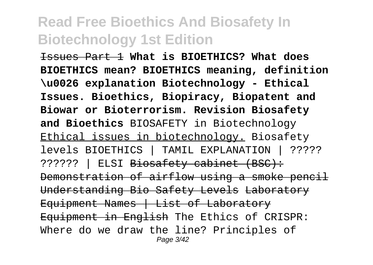Issues Part 1 **What is BIOETHICS? What does BIOETHICS mean? BIOETHICS meaning, definition \u0026 explanation Biotechnology - Ethical Issues. Bioethics, Biopiracy, Biopatent and Biowar or Bioterrorism. Revision Biosafety and Bioethics** BIOSAFETY in Biotechnology Ethical issues in biotechnology. Biosafety levels BIOETHICS | TAMIL EXPLANATION | ????? ?????? | ELSI Biosafety cabinet (BSC): Demonstration of airflow using a smoke pencil Understanding Bio Safety Levels Laboratory Equipment Names | List of Laboratory Equipment in English The Ethics of CRISPR: Where do we draw the line? Principles of Page 3/42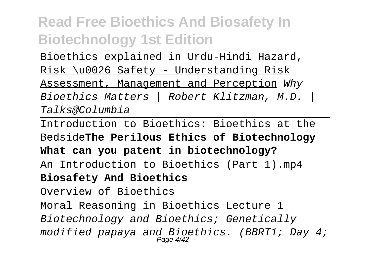Bioethics explained in Urdu-Hindi Hazard,

Risk \u0026 Safety - Understanding Risk

Assessment, Management and Perception Why Bioethics Matters | Robert Klitzman, M.D. | Talks@Columbia

Introduction to Bioethics: Bioethics at the Bedside**The Perilous Ethics of Biotechnology**

**What can you patent in biotechnology?**

An Introduction to Bioethics (Part 1).mp4 **Biosafety And Bioethics**

Overview of Bioethics

Moral Reasoning in Bioethics Lecture 1 Biotechnology and Bioethics; Genetically modified papaya and Bioethics. (BBRT1; Day 4; Page 4/42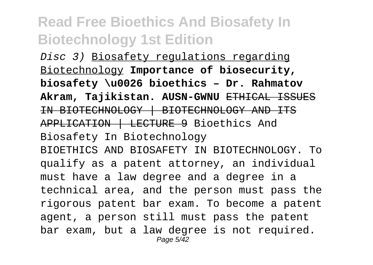Disc 3) Biosafety regulations regarding Biotechnology **Importance of biosecurity, biosafety \u0026 bioethics – Dr. Rahmatov Akram, Tajikistan. AUSN-GWNU** ETHICAL ISSUES IN BIOTECHNOLOGY | BIOTECHNOLOGY AND ITS APPLICATION | LECTURE 9 Bioethics And Biosafety In Biotechnology BIOETHICS AND BIOSAFETY IN BIOTECHNOLOGY. To qualify as a patent attorney, an individual must have a law degree and a degree in a technical area, and the person must pass the rigorous patent bar exam. To become a patent agent, a person still must pass the patent bar exam, but a law degree is not required. Page 5/42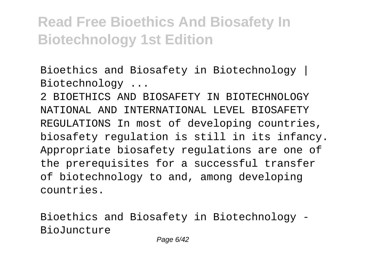Bioethics and Biosafety in Biotechnology | Biotechnology ...

2 BIOETHICS AND BIOSAFETY IN BIOTECHNOLOGY NATIONAL AND INTERNATIONAL LEVEL BIOSAFETY REGULATIONS In most of developing countries, biosafety regulation is still in its infancy. Appropriate biosafety regulations are one of the prerequisites for a successful transfer of biotechnology to and, among developing countries.

Bioethics and Biosafety in Biotechnology - BioJuncture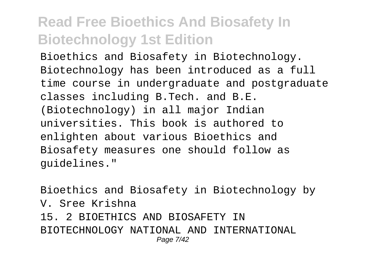Bioethics and Biosafety in Biotechnology. Biotechnology has been introduced as a full time course in undergraduate and postgraduate classes including B.Tech. and B.E. (Biotechnology) in all major Indian universities. This book is authored to enlighten about various Bioethics and Biosafety measures one should follow as guidelines."

Bioethics and Biosafety in Biotechnology by V. Sree Krishna 15. 2 BIOETHICS AND BIOSAFETY IN BIOTECHNOLOGY NATIONAL AND INTERNATIONAL Page 7/42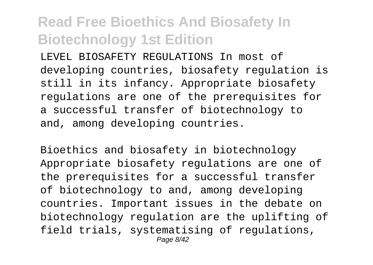LEVEL BIOSAFETY REGULATIONS In most of developing countries, biosafety regulation is still in its infancy. Appropriate biosafety regulations are one of the prerequisites for a successful transfer of biotechnology to and, among developing countries.

Bioethics and biosafety in biotechnology Appropriate biosafety regulations are one of the prerequisites for a successful transfer of biotechnology to and, among developing countries. Important issues in the debate on biotechnology regulation are the uplifting of field trials, systematising of regulations, Page 8/42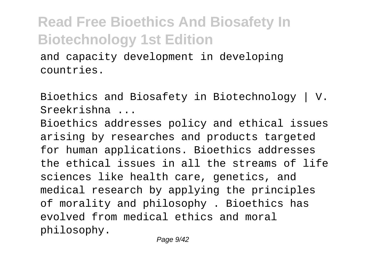and capacity development in developing countries.

Bioethics and Biosafety in Biotechnology | V. Sreekrishna ...

Bioethics addresses policy and ethical issues arising by researches and products targeted for human applications. Bioethics addresses the ethical issues in all the streams of life sciences like health care, genetics, and medical research by applying the principles of morality and philosophy . Bioethics has evolved from medical ethics and moral philosophy.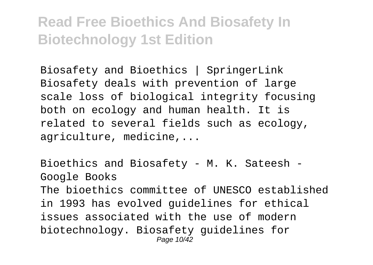Biosafety and Bioethics | SpringerLink Biosafety deals with prevention of large scale loss of biological integrity focusing both on ecology and human health. It is related to several fields such as ecology, agriculture, medicine,...

Bioethics and Biosafety - M. K. Sateesh - Google Books The bioethics committee of UNESCO established in 1993 has evolved guidelines for ethical issues associated with the use of modern biotechnology. Biosafety guidelines for Page 10/42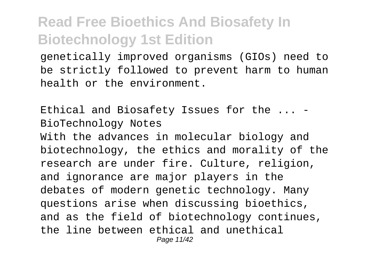genetically improved organisms (GIOs) need to be strictly followed to prevent harm to human health or the environment.

Ethical and Biosafety Issues for the ... - BioTechnology Notes With the advances in molecular biology and biotechnology, the ethics and morality of the research are under fire. Culture, religion, and ignorance are major players in the debates of modern genetic technology. Many questions arise when discussing bioethics, and as the field of biotechnology continues, the line between ethical and unethical Page 11/42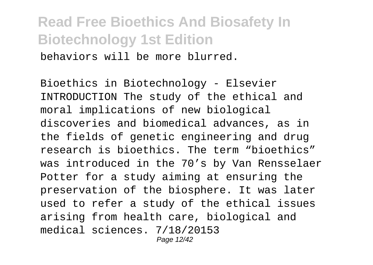behaviors will be more blurred.

Bioethics in Biotechnology - Elsevier INTRODUCTION The study of the ethical and moral implications of new biological discoveries and biomedical advances, as in the fields of genetic engineering and drug research is bioethics. The term "bioethics" was introduced in the 70's by Van Rensselaer Potter for a study aiming at ensuring the preservation of the biosphere. It was later used to refer a study of the ethical issues arising from health care, biological and medical sciences. 7/18/20153 Page 12/42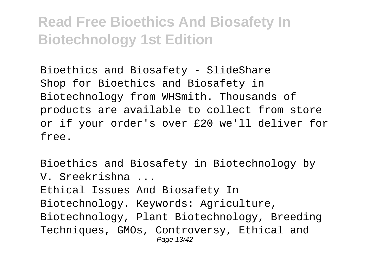Bioethics and Biosafety - SlideShare Shop for Bioethics and Biosafety in Biotechnology from WHSmith. Thousands of products are available to collect from store or if your order's over £20 we'll deliver for free.

Bioethics and Biosafety in Biotechnology by V. Sreekrishna ... Ethical Issues And Biosafety In Biotechnology. Keywords: Agriculture, Biotechnology, Plant Biotechnology, Breeding Techniques, GMOs, Controversy, Ethical and Page 13/42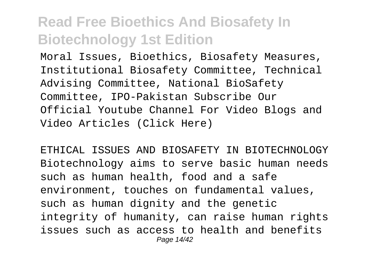Moral Issues, Bioethics, Biosafety Measures, Institutional Biosafety Committee, Technical Advising Committee, National BioSafety Committee, IPO-Pakistan Subscribe Our Official Youtube Channel For Video Blogs and Video Articles (Click Here)

ETHICAL ISSUES AND BIOSAFETY IN BIOTECHNOLOGY Biotechnology aims to serve basic human needs such as human health, food and a safe environment, touches on fundamental values, such as human dignity and the genetic integrity of humanity, can raise human rights issues such as access to health and benefits Page 14/42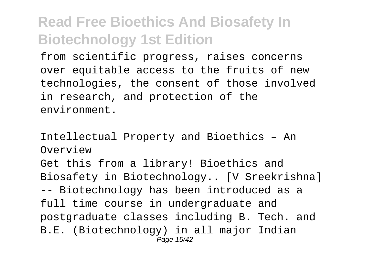from scientific progress, raises concerns over equitable access to the fruits of new technologies, the consent of those involved in research, and protection of the environment.

Intellectual Property and Bioethics – An Overview

Get this from a library! Bioethics and Biosafety in Biotechnology.. [V Sreekrishna] -- Biotechnology has been introduced as a full time course in undergraduate and postgraduate classes including B. Tech. and B.E. (Biotechnology) in all major Indian Page 15/42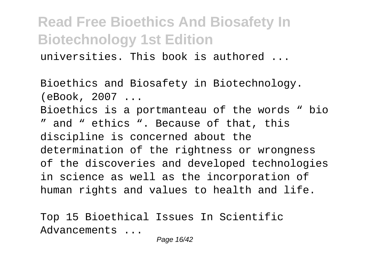universities. This book is authored ...

Bioethics and Biosafety in Biotechnology. (eBook, 2007 ... Bioethics is a portmanteau of the words " bio " and " ethics ". Because of that, this discipline is concerned about the determination of the rightness or wrongness of the discoveries and developed technologies in science as well as the incorporation of human rights and values to health and life.

Top 15 Bioethical Issues In Scientific Advancements ...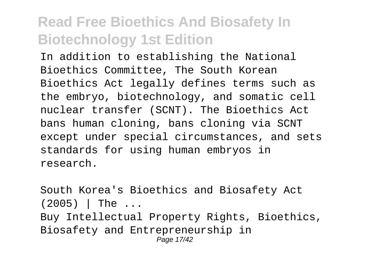In addition to establishing the National Bioethics Committee, The South Korean Bioethics Act legally defines terms such as the embryo, biotechnology, and somatic cell nuclear transfer (SCNT). The Bioethics Act bans human cloning, bans cloning via SCNT except under special circumstances, and sets standards for using human embryos in research.

South Korea's Bioethics and Biosafety Act  $(2005)$  The ... Buy Intellectual Property Rights, Bioethics, Biosafety and Entrepreneurship in Page 17/42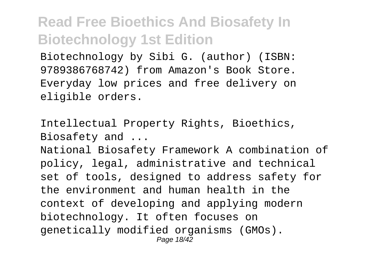Biotechnology by Sibi G. (author) (ISBN: 9789386768742) from Amazon's Book Store. Everyday low prices and free delivery on eligible orders.

Intellectual Property Rights, Bioethics, Biosafety and ...

National Biosafety Framework A combination of policy, legal, administrative and technical set of tools, designed to address safety for the environment and human health in the context of developing and applying modern biotechnology. It often focuses on genetically modified organisms (GMOs). Page 18/42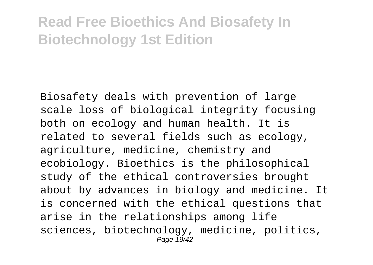Biosafety deals with prevention of large scale loss of biological integrity focusing both on ecology and human health. It is related to several fields such as ecology, agriculture, medicine, chemistry and ecobiology. Bioethics is the philosophical study of the ethical controversies brought about by advances in biology and medicine. It is concerned with the ethical questions that arise in the relationships among life sciences, biotechnology, medicine, politics, Page 19/42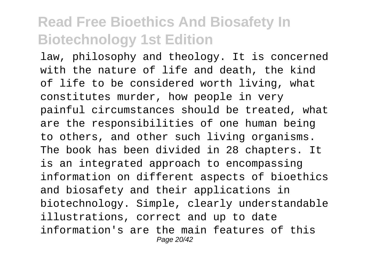law, philosophy and theology. It is concerned with the nature of life and death, the kind of life to be considered worth living, what constitutes murder, how people in very painful circumstances should be treated, what are the responsibilities of one human being to others, and other such living organisms. The book has been divided in 28 chapters. It is an integrated approach to encompassing information on different aspects of bioethics and biosafety and their applications in biotechnology. Simple, clearly understandable illustrations, correct and up to date information's are the main features of this Page 20/42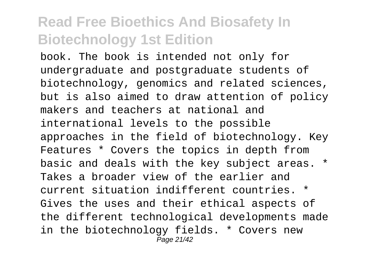book. The book is intended not only for undergraduate and postgraduate students of biotechnology, genomics and related sciences, but is also aimed to draw attention of policy makers and teachers at national and international levels to the possible approaches in the field of biotechnology. Key Features \* Covers the topics in depth from basic and deals with the key subject areas. \* Takes a broader view of the earlier and current situation indifferent countries. \* Gives the uses and their ethical aspects of the different technological developments made in the biotechnology fields. \* Covers new Page 21/42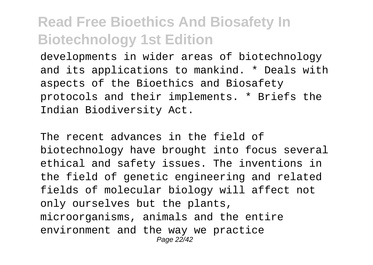developments in wider areas of biotechnology and its applications to mankind. \* Deals with aspects of the Bioethics and Biosafety protocols and their implements. \* Briefs the Indian Biodiversity Act.

The recent advances in the field of biotechnology have brought into focus several ethical and safety issues. The inventions in the field of genetic engineering and related fields of molecular biology will affect not only ourselves but the plants, microorganisms, animals and the entire environment and the way we practice Page 22/42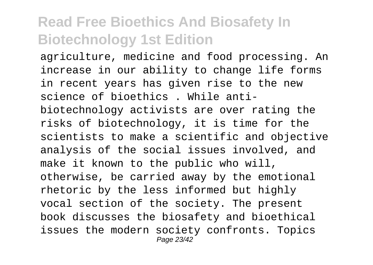agriculture, medicine and food processing. An increase in our ability to change life forms in recent years has given rise to the new science of bioethics . While antibiotechnology activists are over rating the risks of biotechnology, it is time for the scientists to make a scientific and objective analysis of the social issues involved, and make it known to the public who will, otherwise, be carried away by the emotional rhetoric by the less informed but highly vocal section of the society. The present book discusses the biosafety and bioethical issues the modern society confronts. Topics Page 23/42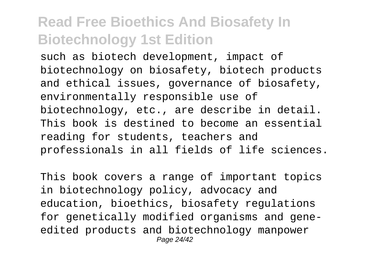such as biotech development, impact of biotechnology on biosafety, biotech products and ethical issues, governance of biosafety, environmentally responsible use of biotechnology, etc., are describe in detail. This book is destined to become an essential reading for students, teachers and professionals in all fields of life sciences.

This book covers a range of important topics in biotechnology policy, advocacy and education, bioethics, biosafety regulations for genetically modified organisms and geneedited products and biotechnology manpower Page 24/42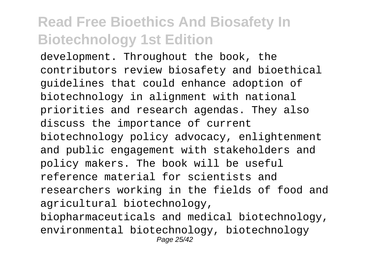development. Throughout the book, the contributors review biosafety and bioethical guidelines that could enhance adoption of biotechnology in alignment with national priorities and research agendas. They also discuss the importance of current biotechnology policy advocacy, enlightenment and public engagement with stakeholders and policy makers. The book will be useful reference material for scientists and researchers working in the fields of food and agricultural biotechnology, biopharmaceuticals and medical biotechnology, environmental biotechnology, biotechnology Page 25/42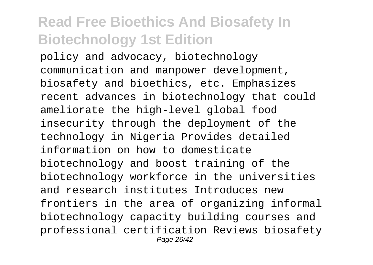policy and advocacy, biotechnology communication and manpower development, biosafety and bioethics, etc. Emphasizes recent advances in biotechnology that could ameliorate the high-level global food insecurity through the deployment of the technology in Nigeria Provides detailed information on how to domesticate biotechnology and boost training of the biotechnology workforce in the universities and research institutes Introduces new frontiers in the area of organizing informal biotechnology capacity building courses and professional certification Reviews biosafety Page 26/42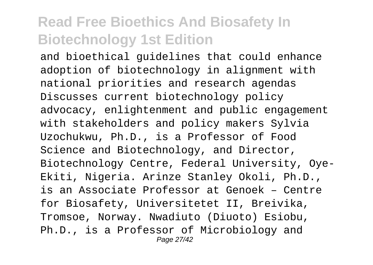and bioethical guidelines that could enhance adoption of biotechnology in alignment with national priorities and research agendas Discusses current biotechnology policy advocacy, enlightenment and public engagement with stakeholders and policy makers Sylvia Uzochukwu, Ph.D., is a Professor of Food Science and Biotechnology, and Director, Biotechnology Centre, Federal University, Oye-Ekiti, Nigeria. Arinze Stanley Okoli, Ph.D., is an Associate Professor at Genoek – Centre for Biosafety, Universitetet II, Breivika, Tromsoe, Norway. Nwadiuto (Diuoto) Esiobu, Ph.D., is a Professor of Microbiology and Page 27/42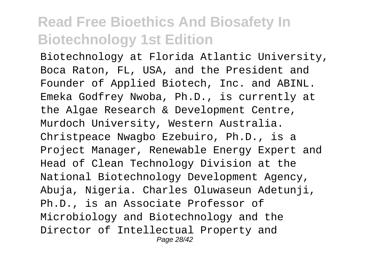Biotechnology at Florida Atlantic University, Boca Raton, FL, USA, and the President and Founder of Applied Biotech, Inc. and ABINL. Emeka Godfrey Nwoba, Ph.D., is currently at the Algae Research & Development Centre, Murdoch University, Western Australia. Christpeace Nwagbo Ezebuiro, Ph.D., is a Project Manager, Renewable Energy Expert and Head of Clean Technology Division at the National Biotechnology Development Agency, Abuja, Nigeria. Charles Oluwaseun Adetunji, Ph.D., is an Associate Professor of Microbiology and Biotechnology and the Director of Intellectual Property and Page 28/42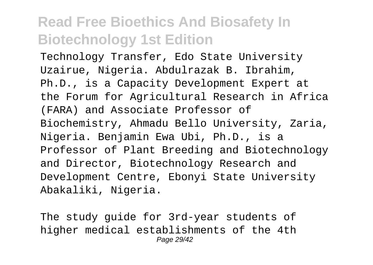Technology Transfer, Edo State University Uzairue, Nigeria. Abdulrazak B. Ibrahim, Ph.D., is a Capacity Development Expert at the Forum for Agricultural Research in Africa (FARA) and Associate Professor of Biochemistry, Ahmadu Bello University, Zaria, Nigeria. Benjamin Ewa Ubi, Ph.D., is a Professor of Plant Breeding and Biotechnology and Director, Biotechnology Research and Development Centre, Ebonyi State University Abakaliki, Nigeria.

The study guide for 3rd-year students of higher medical establishments of the 4th Page 29/42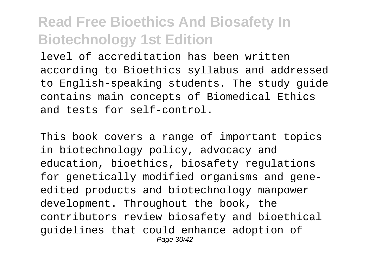level of accreditation has been written according to Bioethics syllabus and addressed to English-speaking students. The study guide contains main concepts of Biomedical Ethics and tests for self-control.

This book covers a range of important topics in biotechnology policy, advocacy and education, bioethics, biosafety regulations for genetically modified organisms and geneedited products and biotechnology manpower development. Throughout the book, the contributors review biosafety and bioethical guidelines that could enhance adoption of Page 30/42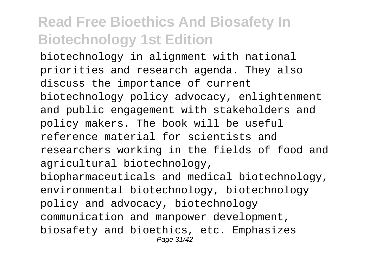biotechnology in alignment with national priorities and research agenda. They also discuss the importance of current biotechnology policy advocacy, enlightenment and public engagement with stakeholders and policy makers. The book will be useful reference material for scientists and researchers working in the fields of food and agricultural biotechnology, biopharmaceuticals and medical biotechnology, environmental biotechnology, biotechnology policy and advocacy, biotechnology communication and manpower development, biosafety and bioethics, etc. Emphasizes Page 31/42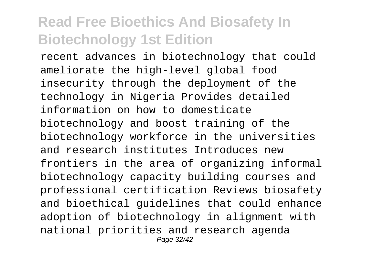recent advances in biotechnology that could ameliorate the high-level global food insecurity through the deployment of the technology in Nigeria Provides detailed information on how to domesticate biotechnology and boost training of the biotechnology workforce in the universities and research institutes Introduces new frontiers in the area of organizing informal biotechnology capacity building courses and professional certification Reviews biosafety and bioethical guidelines that could enhance adoption of biotechnology in alignment with national priorities and research agenda Page 32/42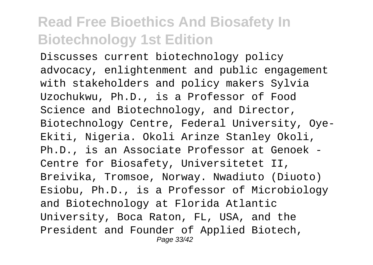Discusses current biotechnology policy advocacy, enlightenment and public engagement with stakeholders and policy makers Sylvia Uzochukwu, Ph.D., is a Professor of Food Science and Biotechnology, and Director, Biotechnology Centre, Federal University, Oye-Ekiti, Nigeria. Okoli Arinze Stanley Okoli, Ph.D., is an Associate Professor at Genoek - Centre for Biosafety, Universitetet II, Breivika, Tromsoe, Norway. Nwadiuto (Diuoto) Esiobu, Ph.D., is a Professor of Microbiology and Biotechnology at Florida Atlantic University, Boca Raton, FL, USA, and the President and Founder of Applied Biotech, Page 33/42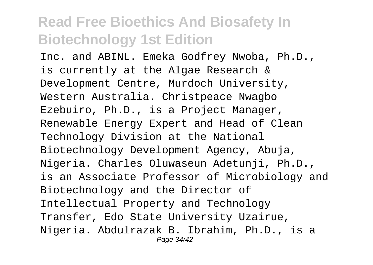Inc. and ABINL. Emeka Godfrey Nwoba, Ph.D., is currently at the Algae Research & Development Centre, Murdoch University, Western Australia. Christpeace Nwagbo Ezebuiro, Ph.D., is a Project Manager, Renewable Energy Expert and Head of Clean Technology Division at the National Biotechnology Development Agency, Abuja, Nigeria. Charles Oluwaseun Adetunji, Ph.D., is an Associate Professor of Microbiology and Biotechnology and the Director of Intellectual Property and Technology Transfer, Edo State University Uzairue, Nigeria. Abdulrazak B. Ibrahim, Ph.D., is a Page 34/42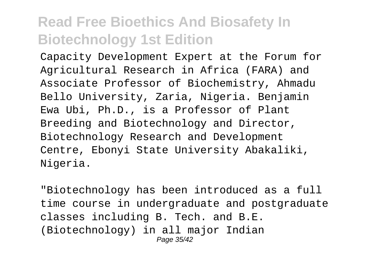Capacity Development Expert at the Forum for Agricultural Research in Africa (FARA) and Associate Professor of Biochemistry, Ahmadu Bello University, Zaria, Nigeria. Benjamin Ewa Ubi, Ph.D., is a Professor of Plant Breeding and Biotechnology and Director, Biotechnology Research and Development Centre, Ebonyi State University Abakaliki, Nigeria.

"Biotechnology has been introduced as a full time course in undergraduate and postgraduate classes including B. Tech. and B.E. (Biotechnology) in all major Indian Page 35/42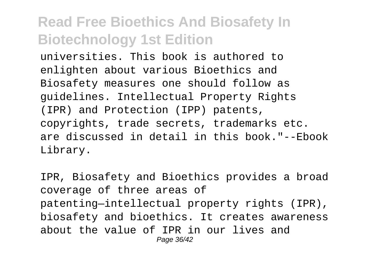universities. This book is authored to enlighten about various Bioethics and Biosafety measures one should follow as guidelines. Intellectual Property Rights (IPR) and Protection (IPP) patents, copyrights, trade secrets, trademarks etc. are discussed in detail in this book."--Ebook Library.

IPR, Biosafety and Bioethics provides a broad coverage of three areas of patenting—intellectual property rights (IPR), biosafety and bioethics. It creates awareness about the value of IPR in our lives and Page 36/42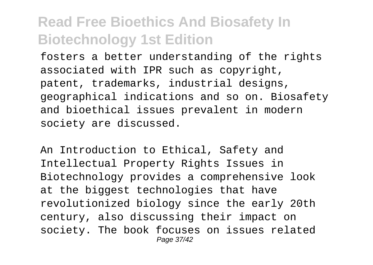fosters a better understanding of the rights associated with IPR such as copyright, patent, trademarks, industrial designs, geographical indications and so on. Biosafety and bioethical issues prevalent in modern society are discussed.

An Introduction to Ethical, Safety and Intellectual Property Rights Issues in Biotechnology provides a comprehensive look at the biggest technologies that have revolutionized biology since the early 20th century, also discussing their impact on society. The book focuses on issues related Page 37/42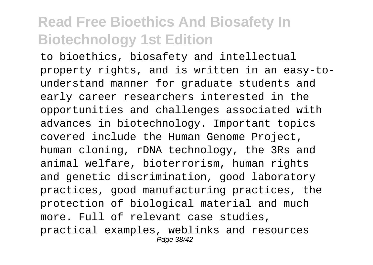to bioethics, biosafety and intellectual property rights, and is written in an easy-tounderstand manner for graduate students and early career researchers interested in the opportunities and challenges associated with advances in biotechnology. Important topics covered include the Human Genome Project, human cloning, rDNA technology, the 3Rs and animal welfare, bioterrorism, human rights and genetic discrimination, good laboratory practices, good manufacturing practices, the protection of biological material and much more. Full of relevant case studies, practical examples, weblinks and resources Page 38/42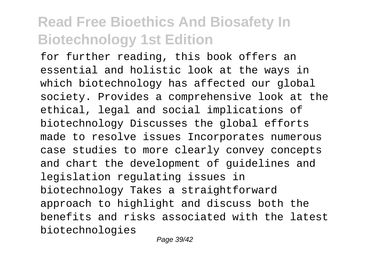for further reading, this book offers an essential and holistic look at the ways in which biotechnology has affected our global society. Provides a comprehensive look at the ethical, legal and social implications of biotechnology Discusses the global efforts made to resolve issues Incorporates numerous case studies to more clearly convey concepts and chart the development of guidelines and legislation regulating issues in biotechnology Takes a straightforward approach to highlight and discuss both the benefits and risks associated with the latest biotechnologies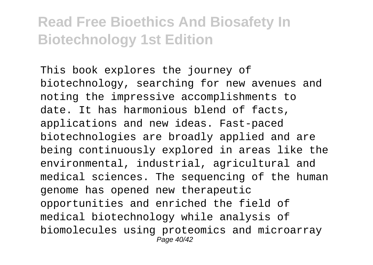This book explores the journey of biotechnology, searching for new avenues and noting the impressive accomplishments to date. It has harmonious blend of facts, applications and new ideas. Fast-paced biotechnologies are broadly applied and are being continuously explored in areas like the environmental, industrial, agricultural and medical sciences. The sequencing of the human genome has opened new therapeutic opportunities and enriched the field of medical biotechnology while analysis of biomolecules using proteomics and microarray Page 40/42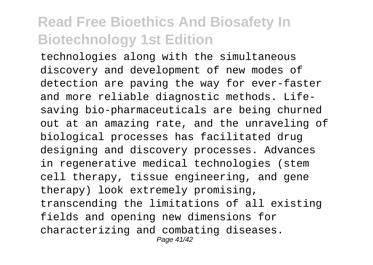technologies along with the simultaneous discovery and development of new modes of detection are paving the way for ever-faster and more reliable diagnostic methods. Lifesaving bio-pharmaceuticals are being churned out at an amazing rate, and the unraveling of biological processes has facilitated drug designing and discovery processes. Advances in regenerative medical technologies (stem cell therapy, tissue engineering, and gene therapy) look extremely promising, transcending the limitations of all existing fields and opening new dimensions for characterizing and combating diseases. Page 41/42